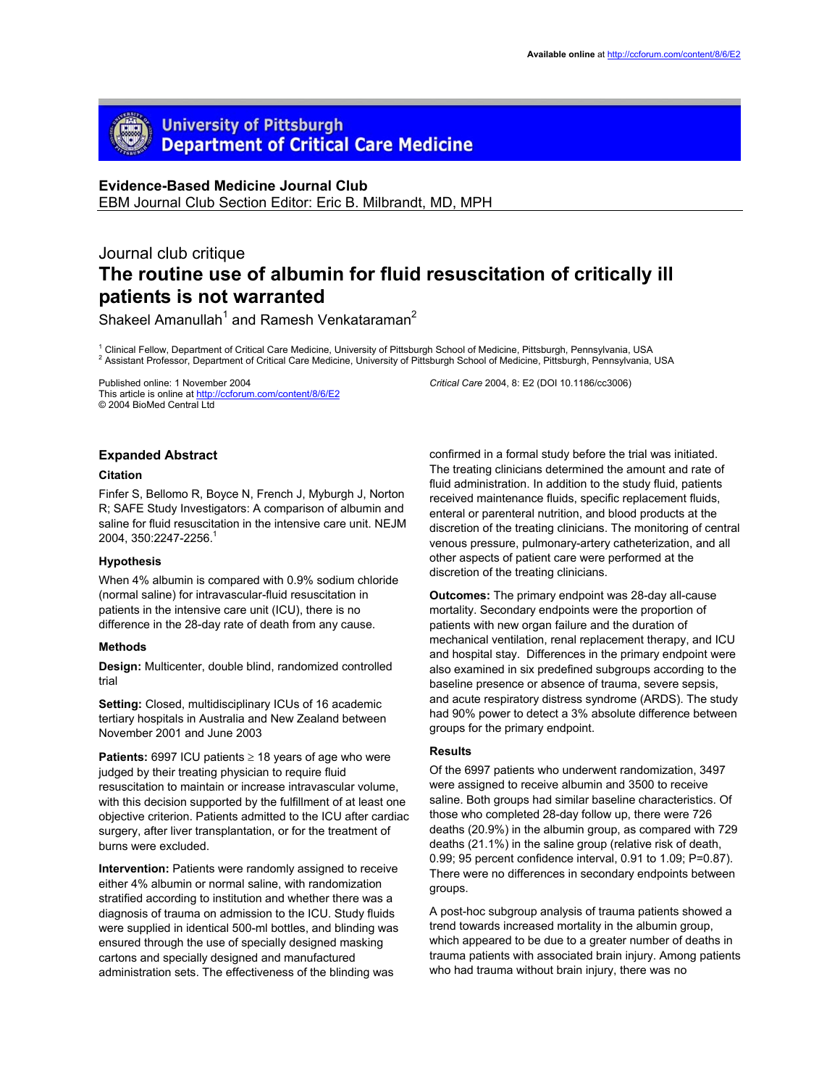# **University of Pittsburgh Department of Critical Care Medicine**

## **Evidence-Based Medicine Journal Club**

EBM Journal Club Section Editor: Eric B. Milbrandt, MD, MPH

## Journal club critique **The routine use of albumin for fluid resuscitation of critically ill patients is not warranted**

Shakeel Amanullah<sup>1</sup> and Ramesh Venkataraman<sup>2</sup>

<sup>1</sup> Clinical Fellow, Department of Critical Care Medicine, University of Pittsburgh School of Medicine, Pittsburgh, Pennsylvania, USA<br><sup>2</sup> Assistant Prefeceer, Department of Critical Care Medicine, University of Dittaburgh <sup>2</sup> Assistant Professor, Department of Critical Care Medicine, University of Pittsburgh School of Medicine, Pittsburgh, Pennsylvania, USA

Published online: 1 November 2004 This article is online at http://ccforum.com/content/8/6/E2 © 2004 BioMed Central Ltd

## **Expanded Abstract**

## **Citation**

Finfer S, Bellomo R, Boyce N, French J, Myburgh J, Norton R; SAFE Study Investigators: A comparison of albumin and saline for fluid resuscitation in the intensive care unit. NEJM 2004, 350:2247-2256.1

### **Hypothesis**

When 4% albumin is compared with 0.9% sodium chloride (normal saline) for intravascular-fluid resuscitation in patients in the intensive care unit (ICU), there is no difference in the 28-day rate of death from any cause.

#### **Methods**

**Design:** Multicenter, double blind, randomized controlled trial

**Setting:** Closed, multidisciplinary ICUs of 16 academic tertiary hospitals in Australia and New Zealand between November 2001 and June 2003

**Patients:** 6997 ICU patients ≥ 18 years of age who were judged by their treating physician to require fluid resuscitation to maintain or increase intravascular volume, with this decision supported by the fulfillment of at least one objective criterion. Patients admitted to the ICU after cardiac surgery, after liver transplantation, or for the treatment of burns were excluded.

**Intervention:** Patients were randomly assigned to receive either 4% albumin or normal saline, with randomization stratified according to institution and whether there was a diagnosis of trauma on admission to the ICU. Study fluids were supplied in identical 500-ml bottles, and blinding was ensured through the use of specially designed masking cartons and specially designed and manufactured administration sets. The effectiveness of the blinding was

*Critical Care* 2004, 8: E2 (DOI 10.1186/cc3006)

confirmed in a formal study before the trial was initiated. The treating clinicians determined the amount and rate of fluid administration. In addition to the study fluid, patients received maintenance fluids, specific replacement fluids, enteral or parenteral nutrition, and blood products at the discretion of the treating clinicians. The monitoring of central venous pressure, pulmonary-artery catheterization, and all other aspects of patient care were performed at the discretion of the treating clinicians.

**Outcomes:** The primary endpoint was 28-day all-cause mortality. Secondary endpoints were the proportion of patients with new organ failure and the duration of mechanical ventilation, renal replacement therapy, and ICU and hospital stay. Differences in the primary endpoint were also examined in six predefined subgroups according to the baseline presence or absence of trauma, severe sepsis, and acute respiratory distress syndrome (ARDS). The study had 90% power to detect a 3% absolute difference between groups for the primary endpoint.

#### **Results**

Of the 6997 patients who underwent randomization, 3497 were assigned to receive albumin and 3500 to receive saline. Both groups had similar baseline characteristics. Of those who completed 28-day follow up, there were 726 deaths (20.9%) in the albumin group, as compared with 729 deaths (21.1%) in the saline group (relative risk of death, 0.99; 95 percent confidence interval, 0.91 to 1.09; P=0.87). There were no differences in secondary endpoints between groups.

A post-hoc subgroup analysis of trauma patients showed a trend towards increased mortality in the albumin group, which appeared to be due to a greater number of deaths in trauma patients with associated brain injury. Among patients who had trauma without brain injury, there was no